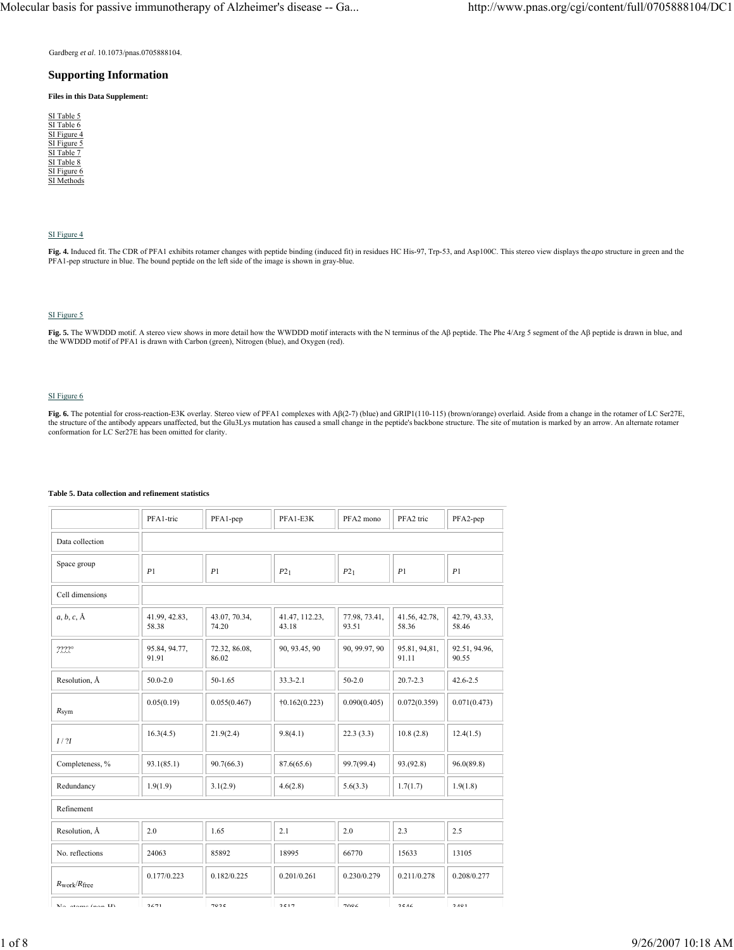Gardberg *et al*. 10.1073/pnas.0705888104.

## **Supporting Information**

**Files in this Data Supplement:**

| SI Table 5  |
|-------------|
| SI Table 6  |
| SI Figure 4 |
| SI Figure 5 |
| SI Table 7  |
| SI Table 8  |
| SI Figure 6 |
| SI Methods  |
|             |

## SI Figure 4

**Fig. 4.** Induced fit. The CDR of PFA1 exhibits rotamer changes with peptide binding (induced fit) in residues HC His-97, Trp-53, and Asp100C. This stereo view displays the *apo* structure in green and the PFA1-pep structure in blue. The bound peptide on the left side of the image is shown in gray-blue.

# SI Figure 5

**Fig. 5.** The WWDDD motif. A stereo view shows in more detail how the WWDDD motif interacts with the N terminus of the Aβ peptide. The Phe 4/Arg 5 segment of the Aβ peptide is drawn in blue, and the WWDDD motif of PFA1 is drawn with Carbon (green), Nitrogen (blue), and Oxygen (red).

# SI Figure 6

**Fig. 6.** The potential for cross-reaction-E3K overlay. Stereo view of PFA1 complexes with Aβ(2-7) (blue) and GRIP1(110-115) (brown/orange) overlaid. Aside from a change in the rotamer of LC Ser27E, the structure of the antibody appears unaffected, but the Glu3Lys mutation has caused a small change in the peptide's backbone structure. The site of mutation is marked by an arrow. An alternate rotamer conformation for LC Ser27E has been omitted for clarity.

|                                   | PFA1-tric              | PFA1-pep               | PFA1-E3K                | PFA2 mono              | PFA2 tric               | PFA2-pep               |
|-----------------------------------|------------------------|------------------------|-------------------------|------------------------|-------------------------|------------------------|
| Data collection                   |                        |                        |                         |                        |                         |                        |
| Space group                       | P1                     | P1                     | P21                     | P21                    | P1                      | P1                     |
| Cell dimensions                   |                        |                        |                         |                        |                         |                        |
| $a, b, c, \mathring{A}$           | 41.99, 42.83,<br>58.38 | 43.07, 70.34,<br>74.20 | 41.47, 112.23,<br>43.18 | 77.98, 73.41,<br>93.51 | 41.56, 42.78,<br>58.36  | 42.79, 43.33,<br>58.46 |
| $2222^{\circ}$                    | 95.84, 94.77,<br>91.91 | 72.32, 86.08,<br>86.02 | 90, 93.45, 90           | 90, 99.97, 90          | 95.81, 94, 81,<br>91.11 | 92.51, 94.96,<br>90.55 |
| Resolution, Å                     | $50.0 - 2.0$           | 50-1.65                | $33.3 - 2.1$            | $50 - 2.0$             | $20.7 - 2.3$            | $42.6 - 2.5$           |
| $R_{sym}$                         | 0.05(0.19)             | 0.055(0.467)           | $\dagger$ 0.162(0.223)  | 0.090(0.405)           | 0.072(0.359)            | 0.071(0.473)           |
| I/2I                              | 16.3(4.5)              | 21.9(2.4)              | 9.8(4.1)                | 22.3(3.3)              | 10.8(2.8)               | 12.4(1.5)              |
| Completeness, %                   | 93.1(85.1)             | 90.7(66.3)             | 87.6(65.6)              | 99.7(99.4)             | 93.(92.8)               | 96.0(89.8)             |
| Redundancy                        | 1.9(1.9)               | 3.1(2.9)               | 4.6(2.8)                | 5.6(3.3)               | 1.7(1.7)                | 1.9(1.8)               |
| Refinement                        |                        |                        |                         |                        |                         |                        |
| Resolution, Å                     | 2.0                    | 1.65                   | 2.1                     | 2.0                    | 2.3                     | 2.5                    |
| No. reflections                   | 24063                  | 85892                  | 18995                   | 66770                  | 15633                   | 13105                  |
| $R_{\text{work}}/R_{\text{free}}$ | 0.177/0.223            | 0.182/0.225            | 0.201/0.261             | 0.230/0.279            | 0.211/0.278             | 0.208/0.277            |
| Mo otomo (non II)                 | 2671                   | 7025                   | 2517                    | 700C                   | 25AC                    | 2101                   |

## **Table 5. Data collection and refinement statistics**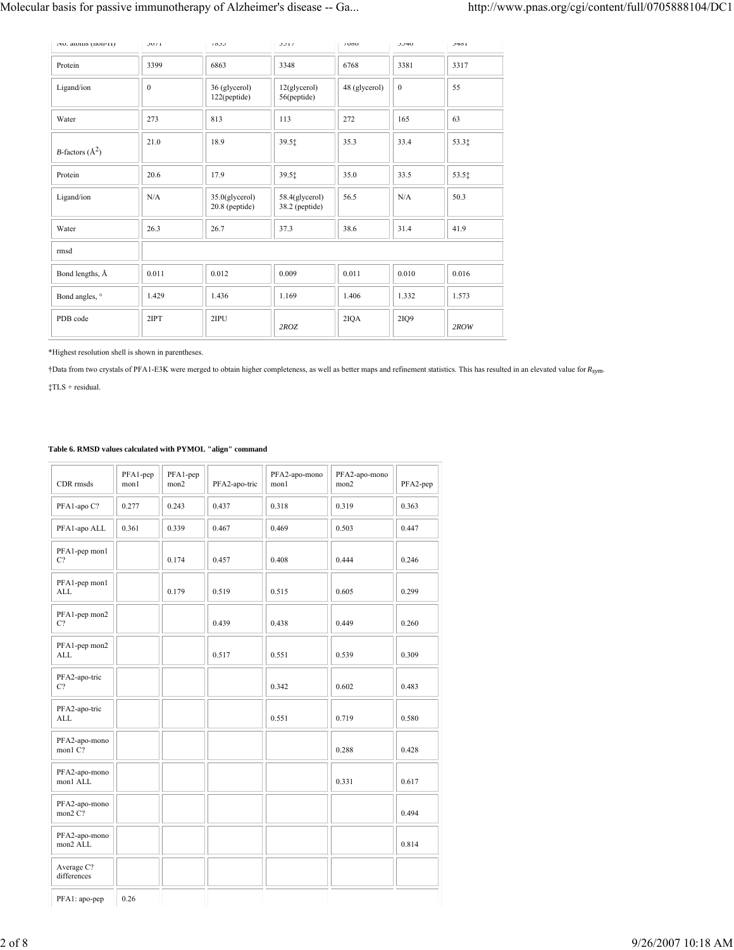| INO. atoms (non-ri)         | 30/1         | 1033                               | 3311                               | 1000          | 3340         | 3401  |
|-----------------------------|--------------|------------------------------------|------------------------------------|---------------|--------------|-------|
| Protein                     | 3399         | 6863                               | 3348                               | 6768          | 3381         | 3317  |
| Ligand/ion                  | $\mathbf{0}$ | 36 (glycerol)<br>122(peptide)      | $12$ (glycerol)<br>56(peptide)     | 48 (glycerol) | $\mathbf{0}$ | 55    |
| Water                       | 273          | 813                                | 113                                | 272           | 165          | 63    |
| <i>B</i> -factors $(\AA^2)$ | 21.0         | 18.9                               | 39.51                              | 35.3          | 33.4         | 53.31 |
| Protein                     | 20.6         | 17.9                               | 39.5‡                              | 35.0          | 33.5         | 53.5‡ |
| Ligand/ion                  | N/A          | 35.0(glycerol)<br>$20.8$ (peptide) | 58.4(glycerol)<br>$38.2$ (peptide) | 56.5          | N/A          | 50.3  |
| Water                       | 26.3         | 26.7                               | 37.3                               | 38.6          | 31.4         | 41.9  |
| rmsd                        |              |                                    |                                    |               |              |       |
| Bond lengths, Å             | 0.011        | 0.012                              | 0.009                              | 0.011         | 0.010        | 0.016 |
| Bond angles, °              | 1.429        | 1.436                              | 1.169                              | 1.406         | 1.332        | 1.573 |
| PDB code                    | 2IPT         | 2IPU                               | 2ROZ                               | 2IQA          | 2IQ9         | 2ROW  |

\*Highest resolution shell is shown in parentheses.

†Data from two crystals of PFA1-E3K were merged to obtain higher completeness, as well as better maps and refinement statistics. This has resulted in an elevated value for *Rsym*.

 $\ddagger$  TLS + residual.

# **Table 6. RMSD values calculated with PYMOL "align" command**

| CDR rmsds                       | PFA1-pep<br>mon1 | PFA1-pep<br>mon2 | PFA2-apo-tric | PFA2-apo-mono<br>mon1 | PFA2-apo-mono<br>mon2 | PFA2-pep |
|---------------------------------|------------------|------------------|---------------|-----------------------|-----------------------|----------|
| PFA1-apo C?                     | 0.277            | 0.243            | 0.437         | 0.318                 | 0.319                 | 0.363    |
| PFA1-apo ALL                    | 0.361            | 0.339            | 0.467         | 0.469                 | 0.503                 | 0.447    |
| PFA1-pep mon1<br>C <sub>2</sub> |                  | 0.174            | 0.457         | 0.408                 | 0.444                 | 0.246    |
| PFA1-pep mon1<br><b>ALL</b>     |                  | 0.179            | 0.519         | 0.515                 | 0.605                 | 0.299    |
| PFA1-pep mon2<br>C?             |                  |                  | 0.439         | 0.438                 | 0.449                 | 0.260    |
| PFA1-pep mon2<br><b>ALL</b>     |                  |                  | 0.517         | 0.551                 | 0.539                 | 0.309    |
| PFA2-apo-tric<br>C?             |                  |                  |               | 0.342                 | 0.602                 | 0.483    |
| PFA2-apo-tric<br><b>ALL</b>     |                  |                  |               | 0.551                 | 0.719                 | 0.580    |
| PFA2-apo-mono<br>mon1 C?        |                  |                  |               |                       | 0.288                 | 0.428    |
| PFA2-apo-mono<br>mon1 ALL       |                  |                  |               |                       | 0.331                 | 0.617    |
| PFA2-apo-mono<br>mon2 C?        |                  |                  |               |                       |                       | 0.494    |
| PFA2-apo-mono<br>mon2 ALL       |                  |                  |               |                       |                       | 0.814    |
| Average C?<br>differences       |                  |                  |               |                       |                       |          |
| PFA1: apo-pep                   | 0.26             |                  |               |                       |                       |          |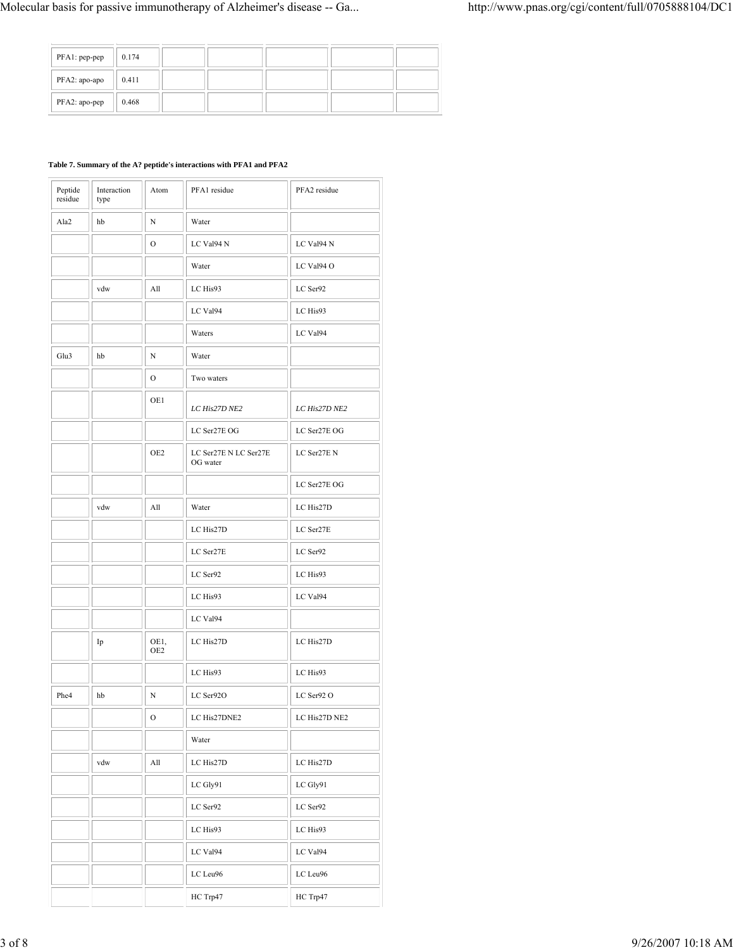| PFA1: pep-pep | 0.174 |  |  |  |
|---------------|-------|--|--|--|
| PFA2: apo-apo | 0.411 |  |  |  |
| PFA2: apo-pep | 0.468 |  |  |  |

# **Table 7. Summary of the A? peptide's interactions with PFA1 and PFA2**

| Peptide<br>residue | Interaction<br>type | Atom                        | PFA1 residue                      | PFA2 residue  |
|--------------------|---------------------|-----------------------------|-----------------------------------|---------------|
| Ala2               | hb                  | N                           | Water                             |               |
|                    |                     | О                           | LC Val94 N                        | LC Val94 N    |
|                    |                     |                             | Water                             | LC Val94 O    |
|                    | vdw                 | All                         | LC His93                          | LC Ser92      |
|                    |                     |                             | LC Val94                          | LC His93      |
|                    |                     |                             | Waters                            | LC Val94      |
| Glu3               | hb                  | N                           | Water                             |               |
|                    |                     | 0                           | Two waters                        |               |
|                    |                     | OE1                         | LC His27D NE2                     | LC His27D NE2 |
|                    |                     |                             | LC Ser27E OG                      | LC Ser27E OG  |
|                    |                     | OE2                         | LC Ser27E N LC Ser27E<br>OG water | LC Ser27E N   |
|                    |                     |                             |                                   | LC Ser27E OG  |
|                    | vdw                 | All                         | Water                             | LC His27D     |
|                    |                     |                             | LC His27D                         | LC Ser27E     |
|                    |                     |                             | LC Ser27E                         | LC Ser92      |
|                    |                     |                             | LC Ser92                          | LC His93      |
|                    |                     |                             | LC His93                          | LC Val94      |
|                    |                     |                             | LC Val94                          |               |
|                    | Ip                  | OE1,<br>OE2                 | LC His27D                         | LC His27D     |
|                    |                     |                             | LC His93                          | LC His93      |
| Phe <sub>4</sub>   | hb                  | N                           | LC Ser92O                         | LC Ser92 O    |
|                    |                     | О                           | LC His27DNE2                      | LC His27D NE2 |
|                    |                     |                             | Water                             |               |
|                    | vdw                 | $\mathop{\rm All}\nolimits$ | LC His27D                         | LC His27D     |
|                    |                     |                             | LC Gly91                          | LC Gly91      |
|                    |                     |                             | LC Ser92                          | LC Ser92      |
|                    |                     |                             | LC His93                          | LC His93      |
|                    |                     |                             | LC Val94                          | LC Val94      |
|                    |                     |                             | LC Leu96                          | LC Leu96      |
|                    |                     |                             | HC Trp47                          | HC Trp47      |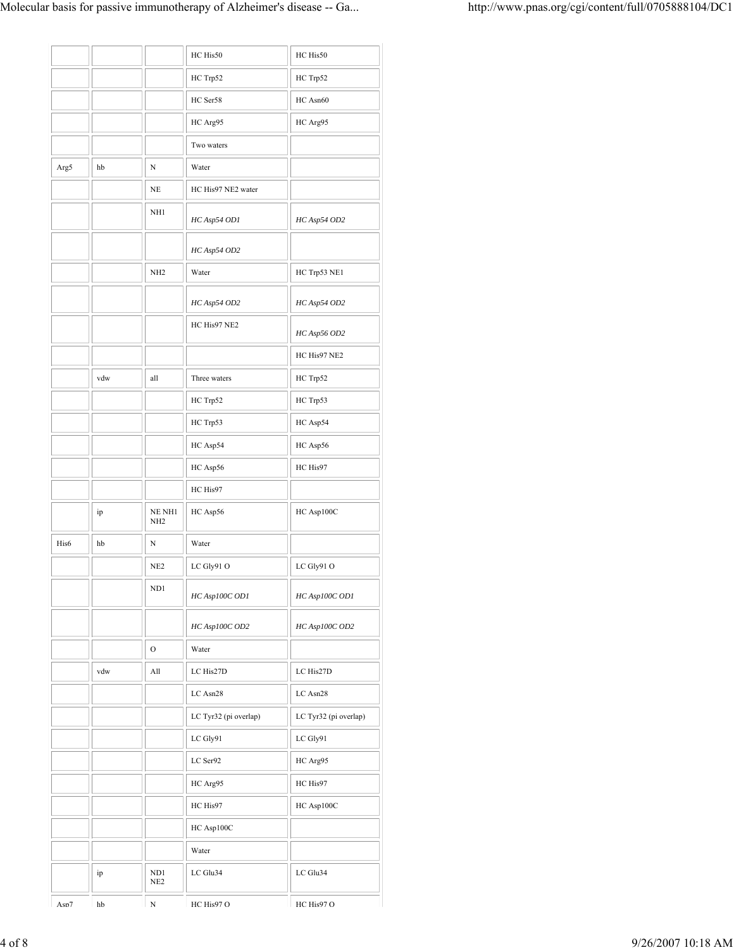|      |     |                                    | HC His50              | HC His50              |
|------|-----|------------------------------------|-----------------------|-----------------------|
|      |     |                                    | HC Trp52              | HC Trp52              |
|      |     |                                    | HC Ser58              | HC Asn60              |
|      |     |                                    | HC Arg95              | HC Arg95              |
|      |     |                                    | Two waters            |                       |
| Arg5 | hb  | N                                  | Water                 |                       |
|      |     | NE                                 | HC His97 NE2 water    |                       |
|      |     | NH <sub>1</sub>                    | HC Asp54 OD1          | HC Asp54 OD2          |
|      |     |                                    | HC Asp54 OD2          |                       |
|      |     | NH <sub>2</sub>                    | Water                 | HC Trp53 NE1          |
|      |     |                                    | HC Asp54 OD2          | HC Asp54 OD2          |
|      |     |                                    | HC His97 NE2          | HC Asp56 OD2          |
|      |     |                                    |                       | HC His97 NE2          |
|      | vdw | all                                | Three waters          | HC Trp52              |
|      |     |                                    | HC Trp52              | HC Trp53              |
|      |     |                                    | HC Trp53              | HC Asp54              |
|      |     |                                    | HC Asp54              | HC Asp56              |
|      |     |                                    | HC Asp56              | HC His97              |
|      |     |                                    | HC His97              |                       |
|      | ip  | NE NH1<br>NH <sub>2</sub>          | HC Asp56              | HC Asp100C            |
| His6 | hb  | N                                  | Water                 |                       |
|      |     | NE <sub>2</sub>                    | LC Gly91 O            | LC Gly91 O            |
|      |     | ND <sub>1</sub>                    | HC Asp100C OD1        | HC Asp100C OD1        |
|      |     |                                    | HC Asp100C OD2        | HC Asp100C OD2        |
|      |     | $\mathcal{O}$                      | Water                 |                       |
|      | vdw | All                                | LC His27D             | LC His27D             |
|      |     |                                    | LC Asn28              | LC Asn28              |
|      |     |                                    | LC Tyr32 (pi overlap) | LC Tyr32 (pi overlap) |
|      |     |                                    | LC Gly91              | LC Gly91              |
|      |     |                                    | LC Ser92              | HC Arg95              |
|      |     |                                    | HC Arg95              | HC His97              |
|      |     |                                    | HC His97              | HC Asp100C            |
|      |     |                                    | HC Asp100C            |                       |
|      |     |                                    | Water                 |                       |
|      | ip  | ND <sub>1</sub><br>NE <sub>2</sub> | LC Glu34              | LC Glu34              |
| Asn7 | hh  | ${\bf N}$                          | HC His97 O            | HC His97 O            |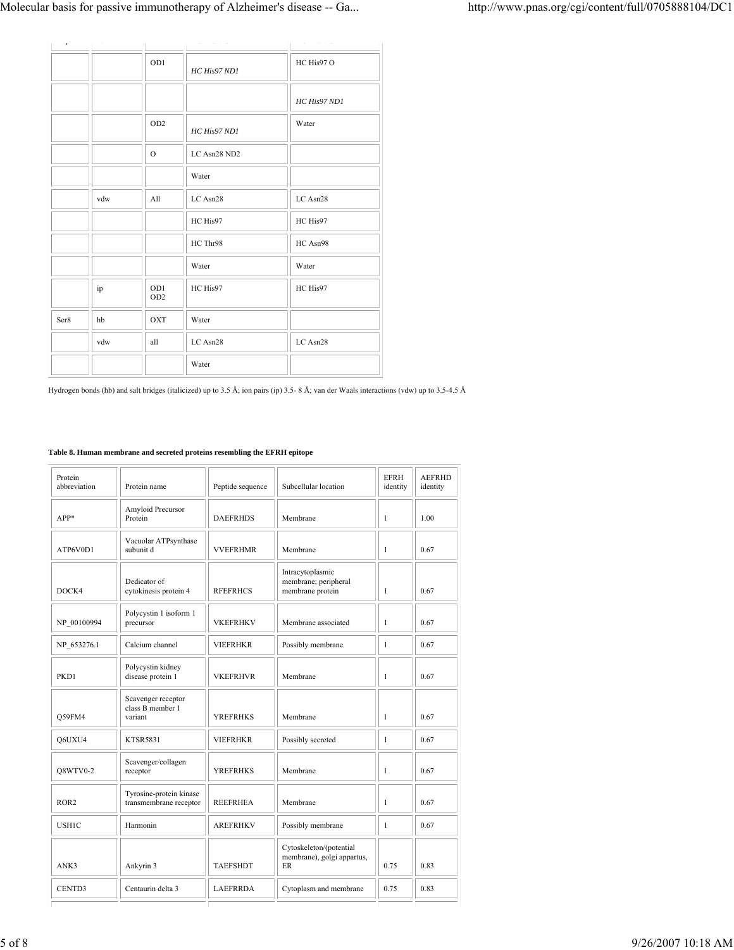| $\cdots_{\Gamma}$ . | $\cdots$ | $\sim$ .               | . <i></i> .  | with a warranty of |
|---------------------|----------|------------------------|--------------|--------------------|
|                     |          | OD1                    | HC His97 ND1 | HC His97 O         |
|                     |          |                        |              | HC His97 ND1       |
|                     |          | OD <sub>2</sub>        | HC His97 ND1 | Water              |
|                     |          | $\mathcal{O}$          | LC Asn28 ND2 |                    |
|                     |          |                        | Water        |                    |
|                     | vdw      | All                    | LC Asn28     | LC Asn28           |
|                     |          |                        | HC His97     | HC His97           |
|                     |          |                        | HC Thr98     | HC Asn98           |
|                     |          |                        | Water        | Water              |
|                     | ip       | OD1<br>OD <sub>2</sub> | HC His97     | HC His97           |
| Ser8                | hb       | <b>OXT</b>             | Water        |                    |
|                     | vdw      | all                    | LC Asn28     | LC Asn28           |
|                     |          |                        | Water        |                    |

Hydrogen bonds (hb) and salt bridges (italicized) up to 3.5 Å; ion pairs (ip) 3.5- 8 Å; van der Waals interactions (vdw) up to 3.5-4.5 Å

# **Table 8. Human membrane and secreted proteins resembling the EFRH epitope**

| Protein<br>abbreviation | Protein name                                      | Peptide sequence | Subcellular location                                         | <b>EFRH</b><br>identity | <b>AEFRHD</b><br>identity |
|-------------------------|---------------------------------------------------|------------------|--------------------------------------------------------------|-------------------------|---------------------------|
| $APP*$                  | Amyloid Precursor<br>Protein                      | <b>DAEFRHDS</b>  | Membrane                                                     | $\mathbf{1}$            | 1.00                      |
| ATP6V0D1                | Vacuolar ATPsynthase<br>subunit d                 | <b>VVEFRHMR</b>  | Membrane                                                     | $\mathbf{1}$            | 0.67                      |
| DOCK4                   | Dedicator of<br>cytokinesis protein 4             | <b>RFEFRHCS</b>  | Intracytoplasmic<br>membrane; peripheral<br>membrane protein | $\mathbf{1}$            | 0.67                      |
| NP 00100994             | Polycystin 1 isoform 1<br>precursor               | <b>VKEFRHKV</b>  | Membrane associated                                          | $\mathbf{1}$            | 0.67                      |
| NP 653276.1             | Calcium channel                                   | <b>VIEFRHKR</b>  | Possibly membrane                                            | $\mathbf{1}$            | 0.67                      |
| PKD1                    | Polycystin kidney<br>disease protein 1            | <b>VKEFRHVR</b>  | Membrane                                                     | $\mathbf{1}$            | 0.67                      |
| Q59FM4                  | Scavenger receptor<br>class B member 1<br>variant | <b>YREFRHKS</b>  | Membrane                                                     | $\mathbf{1}$            | 0.67                      |
| O6UXU4                  | <b>KTSR5831</b>                                   | <b>VIEFRHKR</b>  | Possibly secreted                                            | $\mathbf{1}$            | 0.67                      |
| Q8WTV0-2                | Scavenger/collagen<br>receptor                    | <b>YREFRHKS</b>  | Membrane                                                     | $\mathbf{1}$            | 0.67                      |
| ROR <sub>2</sub>        | Tyrosine-protein kinase<br>transmembrane receptor | <b>REEFRHEA</b>  | Membrane                                                     | $\mathbf{1}$            | 0.67                      |
| USH1C                   | Harmonin                                          | <b>AREFRHKV</b>  | Possibly membrane                                            | $\mathbf{1}$            | 0.67                      |
| ANK3                    | Ankyrin 3                                         | <b>TAEFSHDT</b>  | Cytoskeleton/(potential<br>membrane), golgi appartus,<br>ER  | 0.75                    | 0.83                      |
| CENTD3                  | Centaurin delta 3                                 | <b>LAEFRRDA</b>  | Cytoplasm and membrane                                       | 0.75                    | 0.83                      |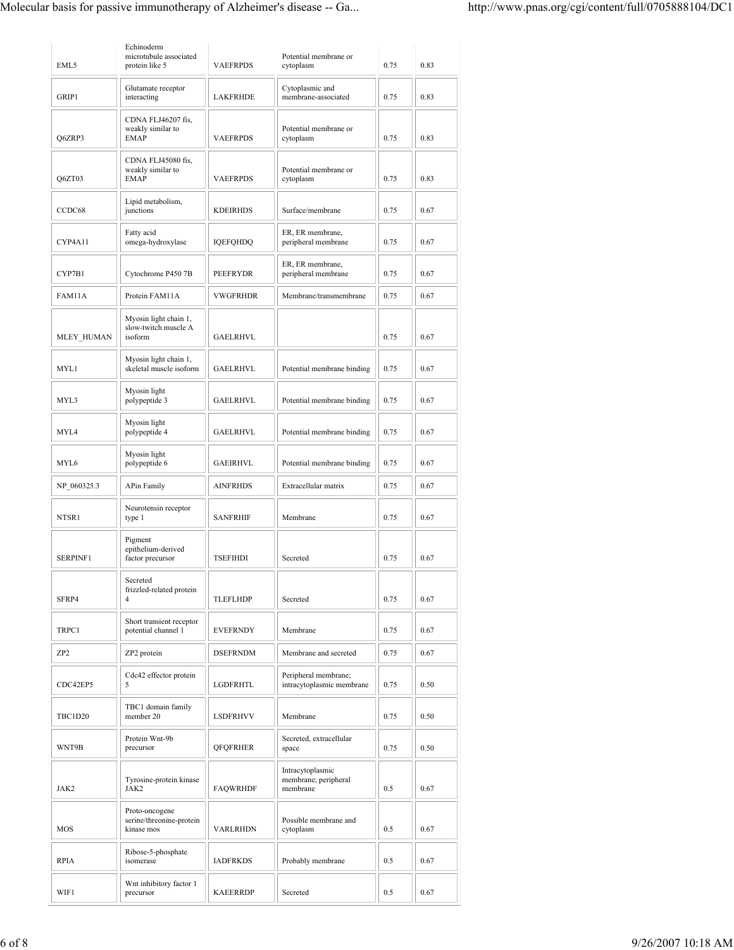| EML5            | Echinoderm<br>microtubule associated<br>protein like 5   | <b>VAEFRPDS</b> | Potential membrane or<br>cytoplasm                   | 0.75 | 0.83 |
|-----------------|----------------------------------------------------------|-----------------|------------------------------------------------------|------|------|
| GRIP1           | Glutamate receptor<br>interacting                        | <b>LAKFRHDE</b> | Cytoplasmic and<br>membrane-associated               | 0.75 | 0.83 |
| Q6ZRP3          | CDNA FLJ46207 fis.<br>weakly similar to<br><b>EMAP</b>   | <b>VAEFRPDS</b> | Potential membrane or<br>cytoplasm                   | 0.75 | 0.83 |
| Q6ZT03          | CDNA FLJ45080 fis,<br>weakly similar to<br><b>EMAP</b>   | <b>VAEFRPDS</b> | Potential membrane or<br>cytoplasm                   | 0.75 | 0.83 |
| CCDC68          | Lipid metabolism,<br>junctions                           | <b>KDEIRHDS</b> | Surface/membrane                                     | 0.75 | 0.67 |
| CYP4A11         | Fatty acid<br>omega-hydroxylase                          | <b>IQEFQHDQ</b> | ER, ER membrane,<br>peripheral membrane              | 0.75 | 0.67 |
| CYP7B1          | Cytochrome P450 7B                                       | <b>PEEFRYDR</b> | ER, ER membrane,<br>peripheral membrane              | 0.75 | 0.67 |
| FAM11A          | Protein FAM11A                                           | <b>VWGFRHDR</b> | Membrane/transmembrane                               | 0.75 | 0.67 |
| MLEY HUMAN      | Myosin light chain 1,<br>slow-twitch muscle A<br>isoform | <b>GAELRHVL</b> |                                                      | 0.75 | 0.67 |
| MYL1            | Myosin light chain 1,<br>skeletal muscle isoform         | <b>GAELRHVL</b> | Potential membrane binding                           | 0.75 | 0.67 |
| MYL3            | Myosin light<br>polypeptide 3                            | <b>GAELRHVL</b> | Potential membrane binding                           | 0.75 | 0.67 |
| MYL4            | Myosin light<br>polypeptide 4                            | <b>GAELRHVL</b> | Potential membrane binding                           | 0.75 | 0.67 |
| MYL6            | Myosin light<br>polypeptide 6                            | <b>GAEIRHVL</b> | Potential membrane binding                           | 0.75 | 0.67 |
| NP 060325.3     | <b>APin Family</b>                                       | <b>AINFRHDS</b> | Extracellular matrix                                 | 0.75 | 0.67 |
| NTSR1           | Neurotensin receptor<br>type 1                           | <b>SANFRHIF</b> | Membrane                                             | 0.75 | 0.67 |
| SERPINF1        | Pigment<br>epithelium-derived<br>factor precursor        | <b>TSEFIHDI</b> | Secreted                                             | 0.75 | 0.67 |
| SFRP4           | Secreted<br>frizzled-related protein<br>4                | <b>TLEFLHDP</b> | Secreted                                             | 0.75 | 0.67 |
| TRPC1           | Short transient receptor<br>potential channel 1          | <b>EVEFRNDY</b> | Membrane                                             | 0.75 | 0.67 |
| ZP <sub>2</sub> | ZP2 protein                                              | <b>DSEFRNDM</b> | Membrane and secreted                                | 0.75 | 0.67 |
| CDC42EP5        | Cdc42 effector protein<br>5                              | LGDFRHTL        | Peripheral membrane;<br>intracytoplasmic membrane    | 0.75 | 0.50 |
| TBC1D20         | TBC1 domain family<br>member 20                          | LSDFRHVV        | Membrane                                             | 0.75 | 0.50 |
| WNT9B           | Protein Wnt-9b<br>precursor                              | <b>QFQFRHER</b> | Secreted, extracellular<br>space                     | 0.75 | 0.50 |
| JAK2            | Tyrosine-protein kinase<br>JAK2                          | <b>FAQWRHDF</b> | Intracytoplasmic<br>membrane; peripheral<br>membrane | 0.5  | 0.67 |
| MOS             | Proto-oncogene<br>serine/threonine-protein<br>kinase mos | <b>VARLRHDN</b> | Possible membrane and<br>cytoplasm                   | 0.5  | 0.67 |
| RPIA            | Ribose-5-phosphate<br>isomerase                          | <b>IADFRKDS</b> | Probably membrane                                    | 0.5  | 0.67 |
| WIF1            | Wnt inhibitory factor 1<br>precursor                     | <b>KAEERRDP</b> | Secreted                                             | 0.5  | 0.67 |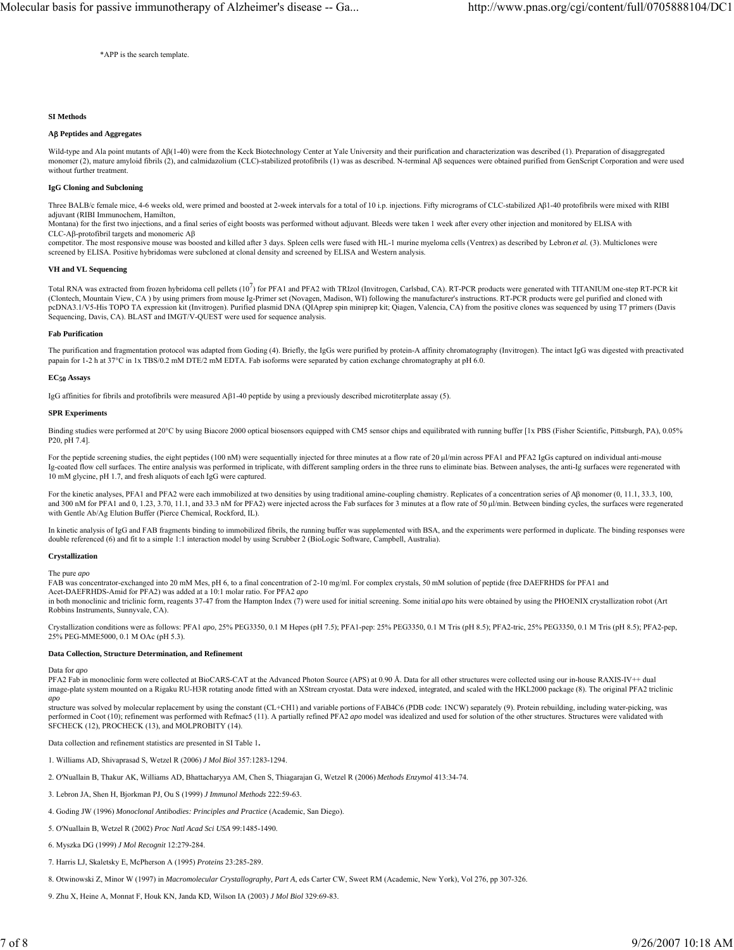\*APP is the search template.

## **SI Methods**

## **A**β **Peptides and Aggregates**

Wild-type and Ala point mutants of Aβ(1-40) were from the Keck Biotechnology Center at Yale University and their purification and characterization was described (1). Preparation of disaggregated monomer (2), mature amyloid fibrils (2), and calmidazolium (CLC)-stabilized protofibrils (1) was as described. N-terminal Aβ sequences were obtained purified from GenScript Corporation and were used without further treatment

### **IgG Cloning and Subcloning**

Three BALB/c female mice, 4-6 weeks old, were primed and boosted at 2-week intervals for a total of 10 i.p. injections. Fifty micrograms of CLC-stabilized Aβ1-40 protofibrils were mixed with RIBI adjuvant (RIBI Immunochem, Hamilton,

Montana) for the first two injections, and a final series of eight boosts was performed without adjuvant. Bleeds were taken 1 week after every other injection and monitored by ELISA with CLC-Aβ-protofibril targets and monomeric Aβ

competitor. The most responsive mouse was boosted and killed after 3 days. Spleen cells were fused with HL-1 murine myeloma cells (Ventrex) as described by Lebron *et al.* (3). Multiclones were screened by ELISA. Positive hybridomas were subcloned at clonal density and screened by ELISA and Western analysis.

### **VH and VL Sequencing**

Total RNA was extracted from frozen hybridoma cell pellets  $(10^7)$  for PFA1 and PFA2 with TRIzol (Invitrogen, Carlsbad, CA). RT-PCR products were generated with TITANIUM one-step RT-PCR kit (Clontech, Mountain View, CA ) by using primers from mouse Ig-Primer set (Novagen, Madison, WI) following the manufacturer's instructions. RT-PCR products were gel purified and cloned with pcDNA3.1/V5-His TOPO TA expression kit (Invitrogen). Purified plasmid DNA (QIAprep spin miniprep kit; Qiagen, Valencia, CA) from the positive clones was sequenced by using T7 primers (Davis Sequencing, Davis, CA). BLAST and IMGT/V-QUEST were used for sequence analysis.

#### **Fab Purification**

The purification and fragmentation protocol was adapted from Goding (4). Briefly, the IgGs were purified by protein-A affinity chromatography (Invitrogen). The intact IgG was digested with preactivated papain for 1-2 h at 37°C in 1x TBS/0.2 mM DTE/2 mM EDTA. Fab isoforms were separated by cation exchange chromatography at pH 6.0.

### **EC50 Assays**

IgG affinities for fibrils and protofibrils were measured Aβ1-40 peptide by using a previously described microtiterplate assay (5).

#### **SPR Experiments**

Binding studies were performed at 20°C by using Biacore 2000 optical biosensors equipped with CM5 sensor chips and equilibrated with running buffer [1x PBS (Fisher Scientific, Pittsburgh, PA), 0.05% P20, pH 7.4].

For the peptide screening studies, the eight peptides (100 nM) were sequentially injected for three minutes at a flow rate of 20 μl/min across PFA1 and PFA2 IgGs captured on individual anti-mouse Ig-coated flow cell surfaces. The entire analysis was performed in triplicate, with different sampling orders in the three runs to eliminate bias. Between analyses, the anti-Ig surfaces were regenerated with 10 mM glycine, pH 1.7, and fresh aliquots of each IgG were captured.

For the kinetic analyses, PFA1 and PFA2 were each immobilized at two densities by using traditional amine-coupling chemistry. Replicates of a concentration series of Aβ monomer (0, 11.1, 33.3, 100, and 300 nM for PFA1 and 0, 1.23, 3.70, 11.1, and 33.3 nM for PFA2) were injected across the Fab surfaces for 3 minutes at a flow rate of 50 μl/min. Between binding cycles, the surfaces were regenerated with Gentle Ab/Ag Elution Buffer (Pierce Chemical, Rockford, IL).

In kinetic analysis of IgG and FAB fragments binding to immobilized fibrils, the running buffer was supplemented with BSA, and the experiments were performed in duplicate. The binding responses were double referenced (6) and fit to a simple 1:1 interaction model by using Scrubber 2 (BioLogic Software, Campbell, Australia).

**Crystallization**

The pure *apo*

FAB was concentrator-exchanged into 20 mM Mes, pH 6, to a final concentration of 2-10 mg/ml. For complex crystals, 50 mM solution of peptide (free DAEFRHDS for PFA1 and Acet-DAEFRHDS-Amid for PFA2) was added at a 10:1 molar ratio. For PFA2 *apo*

in both monoclinic and triclinic form, reagents 37-47 from the Hampton Index (7) were used for initial screening. Some initial *apo* hits were obtained by using the PHOENIX crystallization robot (Art Robbins Instruments, Sunnyvale, CA).

Crystallization conditions were as follows: PFA1 *apo*, 25% PEG3350, 0.1 M Hepes (pH 7.5); PFA1-pep: 25% PEG3350, 0.1 M Tris (pH 8.5); PFA2-tric, 25% PEG3350, 0.1 M Tris (pH 8.5); PFA2-pep, 25% PEG-MME5000, 0.1 M OAc (pH 5.3).

## **Data Collection, Structure Determination, and Refinement**

#### Data for *apo*

PFA2 Fab in monoclinic form were collected at BioCARS-CAT at the Advanced Photon Source (APS) at 0.90 Å. Data for all other structures were collected using our in-house RAXIS-IV++ dual image-plate system mounted on a Rigaku RU-H3R rotating anode fitted with an XStream cryostat. Data were indexed, integrated, and scaled with the HKL2000 package (8). The original PFA2 triclinic

*apo* structure was solved by molecular replacement by using the constant (CL+CH1) and variable portions of FAB4C6 (PDB code: 1NCW) separately (9). Protein rebuilding, including water-picking, was performed in Coot (10); refinement was performed with Refmac5 (11). A partially refined PFA2 *apo* model was idealized and used for solution of the other structures. Structures were validated with SFCHECK (12), PROCHECK (13), and MOLPROBITY (14).

Data collection and refinement statistics are presented in SI Table 1**.**

- 1. Williams AD, Shivaprasad S, Wetzel R (2006) *J Mol Biol* 357:1283-1294.
- 2. O'Nuallain B, Thakur AK, Williams AD, Bhattacharyya AM, Chen S, Thiagarajan G, Wetzel R (2006) *Methods Enzymol* 413:34-74.
- 3. Lebron JA, Shen H, Bjorkman PJ, Ou S (1999) *J Immunol Methods* 222:59-63.
- 4. Goding JW (1996) *Monoclonal Antibodies: Principles and Practice* (Academic, San Diego).
- 5. O'Nuallain B, Wetzel R (2002) *Proc Natl Acad Sci USA* 99:1485-1490.
- 6. Myszka DG (1999) *J Mol Recognit* 12:279-284.
- 7. Harris LJ, Skaletsky E, McPherson A (1995) *Proteins* 23:285-289.
- 8. Otwinowski Z, Minor W (1997) in *Macromolecular Crystallography, Part A*, eds Carter CW, Sweet RM (Academic, New York), Vol 276, pp 307-326.
- 9. Zhu X, Heine A, Monnat F, Houk KN, Janda KD, Wilson IA (2003) *J Mol Biol* 329:69-83.